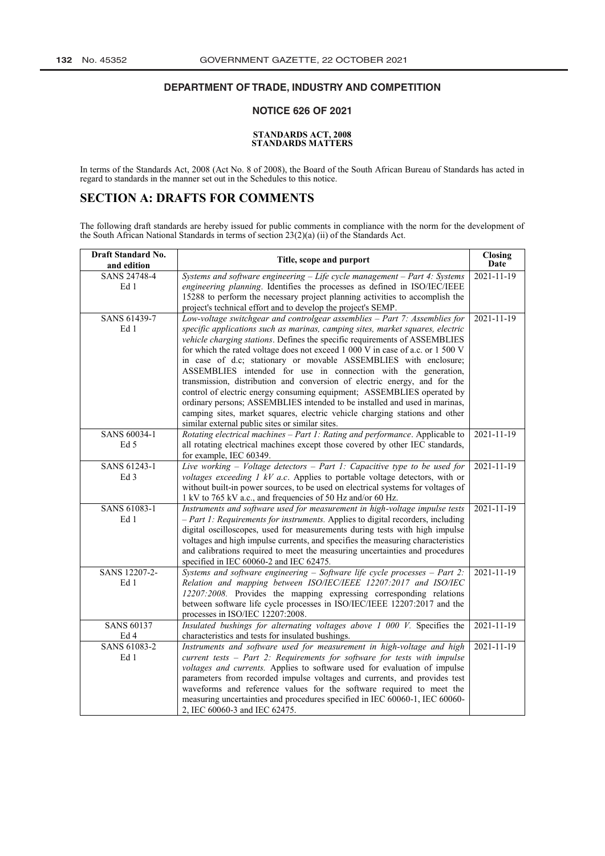#### **DEPARTMENT OF TRADE, INDUSTRY AND COMPETITION** DETAILIMENT OF THADE, INDOOTHE AND OOME ETHION

## **NOTICE 626 OF 2021**

### **[STANDARDS ACT,](http://www.greengazette.co.za/acts/standards-act_2008-008) 2008 STANDARDS MATTERS**

In terms of the [Standards Act,](http://www.greengazette.co.za/acts/standards-act_2008-008) 2008 (Act No. 8 of 2008), the Board of the South African Bureau of Standards has acted in regard to standards in the manner set out in the Schedules to this notice.

# **SECTION A: DRAFTS FOR COMMENTS**

The following draft standards are hereby issued for public comments in compliance with the norm for the development of the South African National Standards in terms of section 23(2)(a) (ii) of the [Standards Act.](http://www.greengazette.co.za/acts/standards-act_2008-008)

| <b>Draft Standard No.</b> | Title, scope and purport                                                         | Closing          |
|---------------------------|----------------------------------------------------------------------------------|------------------|
| and edition               |                                                                                  | Date             |
| <b>SANS 24748-4</b>       | Systems and software engineering $-$ Life cycle management $-$ Part 4: Systems   | $2021 - 11 - 19$ |
| Ed 1                      | engineering planning. Identifies the processes as defined in ISO/IEC/IEEE        |                  |
|                           | 15288 to perform the necessary project planning activities to accomplish the     |                  |
|                           | project's technical effort and to develop the project's SEMP.                    |                  |
| SANS 61439-7              | Low-voltage switchgear and controlgear assemblies - Part 7: Assemblies for       | 2021-11-19       |
| Ed 1                      | specific applications such as marinas, camping sites, market squares, electric   |                  |
|                           | vehicle charging stations. Defines the specific requirements of ASSEMBLIES       |                  |
|                           | for which the rated voltage does not exceed 1 000 V in case of a.c. or 1 500 V   |                  |
|                           | in case of d.c; stationary or movable ASSEMBLIES with enclosure;                 |                  |
|                           | ASSEMBLIES intended for use in connection with the generation,                   |                  |
|                           | transmission, distribution and conversion of electric energy, and for the        |                  |
|                           | control of electric energy consuming equipment; ASSEMBLIES operated by           |                  |
|                           | ordinary persons; ASSEMBLIES intended to be installed and used in marinas,       |                  |
|                           | camping sites, market squares, electric vehicle charging stations and other      |                  |
|                           | similar external public sites or similar sites.                                  |                  |
| SANS 60034-1              | Rotating electrical machines $-$ Part 1: Rating and performance. Applicable to   | 2021-11-19       |
| Ed 5                      | all rotating electrical machines except those covered by other IEC standards,    |                  |
|                           | for example, IEC 60349.                                                          |                  |
| SANS 61243-1              | Live working $-$ Voltage detectors $-$ Part 1: Capacitive type to be used for    | 2021-11-19       |
| Ed <sub>3</sub>           | voltages exceeding $1$ kV a.c. Applies to portable voltage detectors, with or    |                  |
|                           | without built-in power sources, to be used on electrical systems for voltages of |                  |
|                           | 1 kV to 765 kV a.c., and frequencies of 50 Hz and/or 60 Hz.                      |                  |
| SANS 61083-1              | Instruments and software used for measurement in high-voltage impulse tests      | 2021-11-19       |
| Ed 1                      | - Part 1: Requirements for instruments. Applies to digital recorders, including  |                  |
|                           | digital oscilloscopes, used for measurements during tests with high impulse      |                  |
|                           | voltages and high impulse currents, and specifies the measuring characteristics  |                  |
|                           | and calibrations required to meet the measuring uncertainties and procedures     |                  |
|                           | specified in IEC 60060-2 and IEC 62475.                                          |                  |
| SANS 12207-2-             | Systems and software engineering $-$ Software life cycle processes $-$ Part 2:   | 2021-11-19       |
| Ed 1                      | Relation and mapping between ISO/IEC/IEEE 12207:2017 and ISO/IEC                 |                  |
|                           | 12207:2008. Provides the mapping expressing corresponding relations              |                  |
|                           | between software life cycle processes in ISO/IEC/IEEE 12207:2017 and the         |                  |
|                           | processes in ISO/IEC 12207:2008.                                                 |                  |
| <b>SANS 60137</b>         | Insulated bushings for alternating voltages above 1 000 V. Specifies the         | $2021 - 11 - 19$ |
| Ed 4<br>SANS 61083-2      | characteristics and tests for insulated bushings.                                |                  |
|                           | Instruments and software used for measurement in high-voltage and high           | 2021-11-19       |
| Ed 1                      | current tests - Part 2: Requirements for software for tests with impulse         |                  |
|                           | voltages and currents. Applies to software used for evaluation of impulse        |                  |
|                           | parameters from recorded impulse voltages and currents, and provides test        |                  |
|                           | waveforms and reference values for the software required to meet the             |                  |
|                           | measuring uncertainties and procedures specified in IEC 60060-1, IEC 60060-      |                  |
|                           | 2, IEC 60060-3 and IEC 62475.                                                    |                  |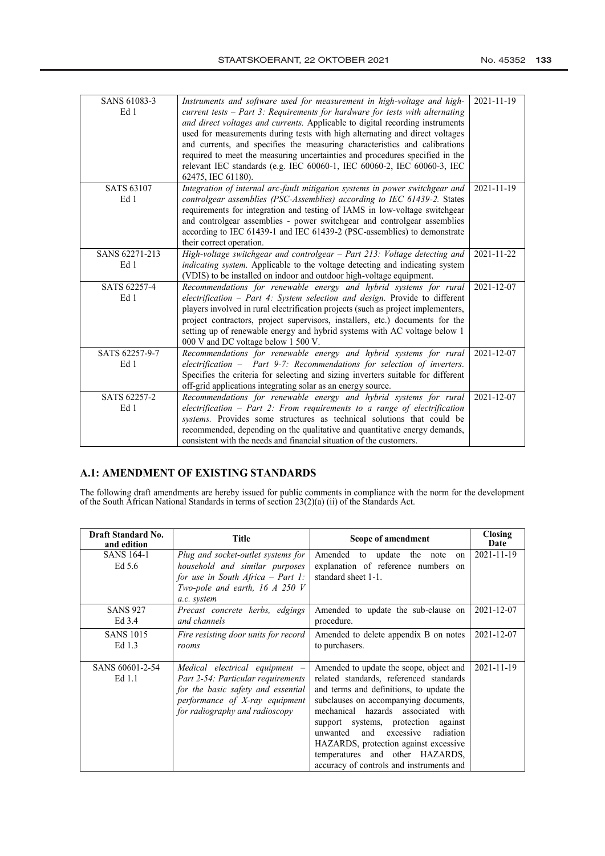| SANS 61083-3<br>Ed 1<br><b>SATS 63107</b> | Instruments and software used for measurement in high-voltage and high-<br>current tests $-$ Part 3: Requirements for hardware for tests with alternating<br>and direct voltages and currents. Applicable to digital recording instruments<br>used for measurements during tests with high alternating and direct voltages<br>and currents, and specifies the measuring characteristics and calibrations<br>required to meet the measuring uncertainties and procedures specified in the<br>relevant IEC standards (e.g. IEC 60060-1, IEC 60060-2, IEC 60060-3, IEC<br>62475, IEC 61180).<br>Integration of internal arc-fault mitigation systems in power switchgear and | $2021 - 11 - 19$<br>2021-11-19 |
|-------------------------------------------|---------------------------------------------------------------------------------------------------------------------------------------------------------------------------------------------------------------------------------------------------------------------------------------------------------------------------------------------------------------------------------------------------------------------------------------------------------------------------------------------------------------------------------------------------------------------------------------------------------------------------------------------------------------------------|--------------------------------|
| Ed 1                                      | controlgear assemblies (PSC-Assemblies) according to IEC 61439-2. States<br>requirements for integration and testing of IAMS in low-voltage switchgear<br>and controlgear assemblies - power switchgear and controlgear assemblies<br>according to IEC 61439-1 and IEC 61439-2 (PSC-assemblies) to demonstrate<br>their correct operation.                                                                                                                                                                                                                                                                                                                                |                                |
| SANS 62271-213<br>Ed 1                    | High-voltage switchgear and controlgear - Part 213: Voltage detecting and<br>indicating system. Applicable to the voltage detecting and indicating system<br>(VDIS) to be installed on indoor and outdoor high-voltage equipment.                                                                                                                                                                                                                                                                                                                                                                                                                                         | 2021-11-22                     |
| SATS 62257-4<br>Ed 1                      | Recommendations for renewable energy and hybrid systems for rural<br>electrification $-$ Part 4: System selection and design. Provide to different<br>players involved in rural electrification projects (such as project implementers,<br>project contractors, project supervisors, installers, etc.) documents for the<br>setting up of renewable energy and hybrid systems with AC voltage below 1<br>000 V and DC voltage below 1 500 V.                                                                                                                                                                                                                              | 2021-12-07                     |
| SATS 62257-9-7<br>Ed 1                    | Recommendations for renewable energy and hybrid systems for rural<br>$electrification$ – Part 9-7: Recommendations for selection of inverters.<br>Specifies the criteria for selecting and sizing inverters suitable for different<br>off-grid applications integrating solar as an energy source.                                                                                                                                                                                                                                                                                                                                                                        | 2021-12-07                     |
| SATS 62257-2<br>Ed 1                      | Recommendations for renewable energy and hybrid systems for rural<br>electrification $-$ Part 2: From requirements to a range of electrification<br>systems. Provides some structures as technical solutions that could be<br>recommended, depending on the qualitative and quantitative energy demands,<br>consistent with the needs and financial situation of the customers.                                                                                                                                                                                                                                                                                           | 2021-12-07                     |

# **A.1: AMENDMENT OF EXISTING STANDARDS**

The following draft amendments are hereby issued for public comments in compliance with the norm for the development of the South African National Standards in terms of section 23(2)(a) (ii) of the [Standards Act.](http://www.greengazette.co.za/acts/standards-act_2008-008) 

| <b>Draft Standard No.</b><br>and edition | <b>Title</b>                                                                                                                                                                   | Scope of amendment                                                                                                                                                                                                                                                                                                                                                                                                        | <b>Closing</b><br>Date |
|------------------------------------------|--------------------------------------------------------------------------------------------------------------------------------------------------------------------------------|---------------------------------------------------------------------------------------------------------------------------------------------------------------------------------------------------------------------------------------------------------------------------------------------------------------------------------------------------------------------------------------------------------------------------|------------------------|
| SANS 164-1<br>Ed 5.6                     | Plug and socket-outlet systems for<br>household and similar purposes<br>for use in South Africa $-$ Part 1:                                                                    | Amended to update the note<br>on<br>explanation of reference numbers on<br>standard sheet 1-1.                                                                                                                                                                                                                                                                                                                            | 2021-11-19             |
|                                          | Two-pole and earth, 16 $\AA$ 250 V<br>a.c. system                                                                                                                              |                                                                                                                                                                                                                                                                                                                                                                                                                           |                        |
| <b>SANS 927</b><br>Ed 3.4                | Precast concrete kerbs, edgings<br>and channels                                                                                                                                | Amended to update the sub-clause on<br>procedure.                                                                                                                                                                                                                                                                                                                                                                         | 2021-12-07             |
| <b>SANS 1015</b><br>Ed 1.3               | Fire resisting door units for record<br>rooms                                                                                                                                  | Amended to delete appendix B on notes<br>to purchasers.                                                                                                                                                                                                                                                                                                                                                                   | 2021-12-07             |
| SANS 60601-2-54<br>Ed 1.1                | Medical electrical equipment –<br>Part 2-54: Particular requirements<br>for the basic safety and essential<br>performance of X-ray equipment<br>for radiography and radioscopy | Amended to update the scope, object and<br>related standards, referenced standards<br>and terms and definitions, to update the<br>subclauses on accompanying documents,<br>mechanical hazards associated with<br>support systems, protection against<br>radiation<br>unwanted<br>and<br>excessive<br>HAZARDS, protection against excessive<br>temperatures and other HAZARDS,<br>accuracy of controls and instruments and | 2021-11-19             |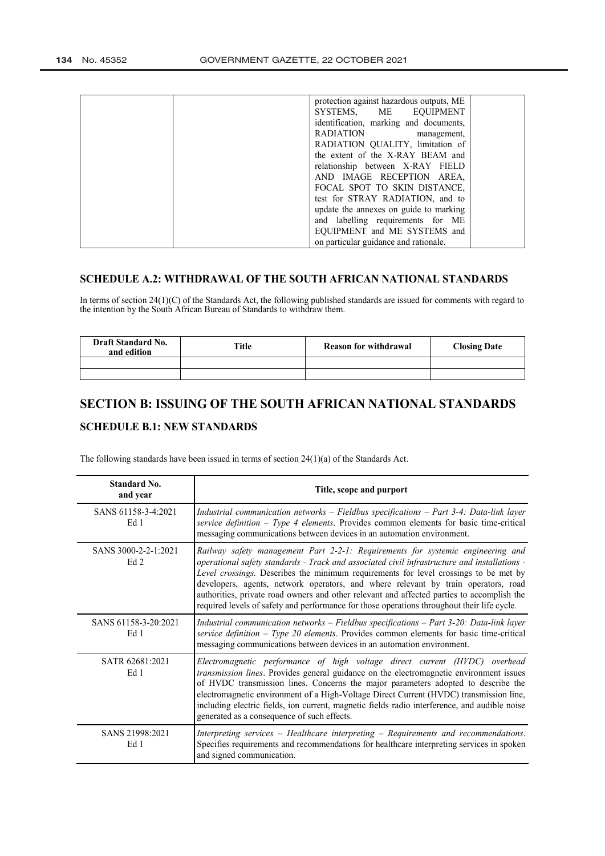| protection against hazardous outputs, ME |                                   |
|------------------------------------------|-----------------------------------|
| SYSTEMS, ME EQUIPMENT                    |                                   |
| identification, marking and documents,   |                                   |
| <b>RADIATION</b><br>management,          |                                   |
| RADIATION OUALITY, limitation of         |                                   |
| the extent of the X-RAY BEAM and         |                                   |
| relationship between X-RAY FIELD         |                                   |
| AND IMAGE RECEPTION AREA,                |                                   |
| FOCAL SPOT TO SKIN DISTANCE,             |                                   |
| test for STRAY RADIATION, and to         |                                   |
| update the annexes on guide to marking   |                                   |
|                                          |                                   |
| EQUIPMENT and ME SYSTEMS and             |                                   |
| on particular guidance and rationale.    |                                   |
|                                          | and labelling requirements for ME |

## **SCHEDULE A.2: WITHDRAWAL OF THE SOUTH AFRICAN NATIONAL STANDARDS**

In terms of section 24(1)(C) of the [Standards Act,](http://www.greengazette.co.za/acts/standards-act_2008-008) the following published standards are issued for comments with regard to the intention by the South African Bureau of Standards to withdraw them.

| <b>Draft Standard No.</b><br>and edition | <b>Title</b> | <b>Reason for withdrawal</b> | <b>Closing Date</b> |
|------------------------------------------|--------------|------------------------------|---------------------|
|                                          |              |                              |                     |
|                                          |              |                              |                     |

# **SECTION B: ISSUING OF THE SOUTH AFRICAN NATIONAL STANDARDS**

# **SCHEDULE B.1: NEW STANDARDS**

The following standards have been issued in terms of section 24(1)(a) of the [Standards Act.](http://www.greengazette.co.za/acts/standards-act_2008-008) 

| Standard No.<br>and year                | Title, scope and purport                                                                                                                                                                                                                                                                                                                                                                                                                                                                                                                                   |
|-----------------------------------------|------------------------------------------------------------------------------------------------------------------------------------------------------------------------------------------------------------------------------------------------------------------------------------------------------------------------------------------------------------------------------------------------------------------------------------------------------------------------------------------------------------------------------------------------------------|
| SANS 61158-3-4:2021<br>Ed 1             | Industrial communication networks $-$ Fieldbus specifications $-$ Part 3-4: Data-link layer<br>service definition - Type 4 elements. Provides common elements for basic time-critical<br>messaging communications between devices in an automation environment.                                                                                                                                                                                                                                                                                            |
| SANS 3000-2-2-1:2021<br>Ed <sub>2</sub> | Railway safety management Part 2-2-1: Requirements for systemic engineering and<br>operational safety standards - Track and associated civil infrastructure and installations -<br>Level crossings. Describes the minimum requirements for level crossings to be met by<br>developers, agents, network operators, and where relevant by train operators, road<br>authorities, private road owners and other relevant and affected parties to accomplish the<br>required levels of safety and performance for those operations throughout their life cycle. |
| SANS 61158-3-20:2021<br>Ed 1            | Industrial communication networks - Fieldbus specifications - Part 3-20: Data-link layer<br>service definition - Type 20 elements. Provides common elements for basic time-critical<br>messaging communications between devices in an automation environment.                                                                                                                                                                                                                                                                                              |
| SATR 62681.2021<br>Ed 1                 | Electromagnetic performance of high voltage direct current (HVDC) overhead<br>transmission lines. Provides general guidance on the electromagnetic environment issues<br>of HVDC transmission lines. Concerns the major parameters adopted to describe the<br>electromagnetic environment of a High-Voltage Direct Current (HVDC) transmission line,<br>including electric fields, ion current, magnetic fields radio interference, and audible noise<br>generated as a consequence of such effects.                                                       |
| SANS 21998:2021<br>Ed 1                 | Interpreting services – Healthcare interpreting – Requirements and recommendations.<br>Specifies requirements and recommendations for healthcare interpreting services in spoken<br>and signed communication.                                                                                                                                                                                                                                                                                                                                              |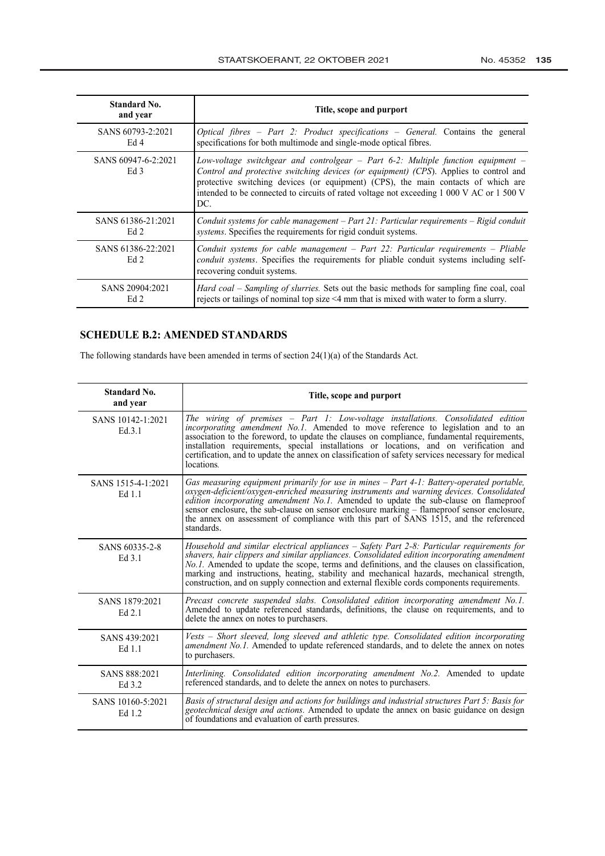| Standard No.<br>and year              | Title, scope and purport                                                                                                                                                                                                                                                                                                                                           |
|---------------------------------------|--------------------------------------------------------------------------------------------------------------------------------------------------------------------------------------------------------------------------------------------------------------------------------------------------------------------------------------------------------------------|
| SANS 60793-2:2021                     | Optical fibres - Part 2: Product specifications - General. Contains the general                                                                                                                                                                                                                                                                                    |
| Ed 4                                  | specifications for both multimode and single-mode optical fibres.                                                                                                                                                                                                                                                                                                  |
| SANS 60947-6-2:2021<br>Ed 3           | Low-voltage switchgear and controlgear - Part 6-2: Multiple function equipment -<br>Control and protective switching devices (or equipment) (CPS). Applies to control and<br>protective switching devices (or equipment) (CPS), the main contacts of which are<br>intended to be connected to circuits of rated voltage not exceeding 1 000 V AC or 1 500 V<br>DC. |
| SANS 61386-21:2021                    | Conduit systems for cable management - Part 21: Particular requirements - Rigid conduit                                                                                                                                                                                                                                                                            |
| Ed 2                                  | systems. Specifies the requirements for rigid conduit systems.                                                                                                                                                                                                                                                                                                     |
| SANS 61386-22:2021<br>Ed <sub>2</sub> | Conduit systems for cable management $-$ Part 22: Particular requirements $-$ Pliable<br>conduit systems. Specifies the requirements for pliable conduit systems including self-<br>recovering conduit systems.                                                                                                                                                    |
| SANS 20904:2021                       | <i>Hard coal – Sampling of slurries.</i> Sets out the basic methods for sampling fine coal, coal                                                                                                                                                                                                                                                                   |
| Ed 2                                  | rejects or tailings of nominal top size <4 mm that is mixed with water to form a slurry.                                                                                                                                                                                                                                                                           |

# **SCHEDULE B.2: AMENDED STANDARDS**

The following standards have been amended in terms of section 24(1)(a) of the [Standards Act.](http://www.greengazette.co.za/acts/standards-act_2008-008)

| Standard No.<br>and year     | Title, scope and purport                                                                                                                                                                                                                                                                                                                                                                                                                                                              |
|------------------------------|---------------------------------------------------------------------------------------------------------------------------------------------------------------------------------------------------------------------------------------------------------------------------------------------------------------------------------------------------------------------------------------------------------------------------------------------------------------------------------------|
| SANS 10142-1:2021<br>Ed.3.1  | The wiring of premises - Part 1: Low-voltage installations. Consolidated edition<br>incorporating amendment No.1. Amended to move reference to legislation and to an<br>association to the foreword, to update the clauses on compliance, fundamental requirements,<br>installation requirements, special installations or locations, and on verification and<br>certification, and to update the annex on classification of safety services necessary for medical<br>locations.      |
| SANS 1515-4-1:2021<br>Ed 1.1 | Gas measuring equipment primarily for use in mines – Part 4-1: Battery-operated portable,<br>oxygen-deficient/oxygen-enriched measuring instruments and warning devices. Consolidated<br>edition incorporating amendment No.1. Amended to update the sub-clause on flameproof<br>sensor enclosure, the sub-clause on sensor enclosure marking – flameproof sensor enclosure,<br>the annex on assessment of compliance with this part of SANS 1515, and the referenced<br>standards.   |
| SANS 60335-2-8<br>Ed 3.1     | Household and similar electrical appliances - Safety Part 2-8: Particular requirements for<br>shavers, hair clippers and similar appliances. Consolidated edition incorporating amendment<br>No.1. Amended to update the scope, terms and definitions, and the clauses on classification,<br>marking and instructions, heating, stability and mechanical hazards, mechanical strength,<br>construction, and on supply connection and external flexible cords components requirements. |
| SANS 1879:2021<br>Ed 2.1     | Precast concrete suspended slabs. Consolidated edition incorporating amendment No.1.<br>Amended to update referenced standards, definitions, the clause on requirements, and to<br>delete the annex on notes to purchasers.                                                                                                                                                                                                                                                           |
| SANS 439:2021<br>Ed 1.1      | Vests - Short sleeved, long sleeved and athletic type. Consolidated edition incorporating<br>amendment No.1. Amended to update referenced standards, and to delete the annex on notes<br>to purchasers.                                                                                                                                                                                                                                                                               |
| SANS 888:2021<br>Ed 3.2      | Interlining. Consolidated edition incorporating amendment No.2. Amended to update<br>referenced standards, and to delete the annex on notes to purchasers.                                                                                                                                                                                                                                                                                                                            |
| SANS 10160-5:2021<br>Ed 1.2  | Basis of structural design and actions for buildings and industrial structures Part 5: Basis for<br>geotechnical design and actions. Amended to update the annex on basic guidance on design<br>of foundations and evaluation of earth pressures.                                                                                                                                                                                                                                     |